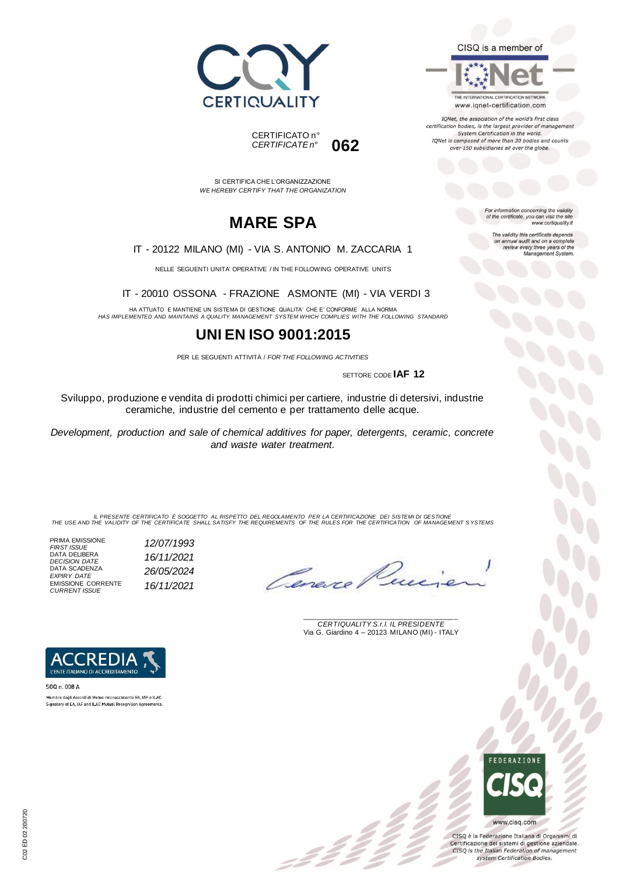





IQNet, the association of the world's first class certification bodies, is the largest provider of management System Certification in the world. IQNet is composed of more than 30 bodies and counts over 150 subsidiaries all over the globe.

For information concerning the validity<br>of the certificate, you can visit the site

The validity this certificate depends on annual audit and on a complete<br>review every three years of the<br>Management System.

www.certiquality.it

SI CERTIFICA CHE L'ORGANIZZAZIONE *WE HEREBY CERTIFY THAT THE ORGANIZATION*

CERTIFICATO n°

*CERTIFICATE n°* **062**

## **MARE SPA**

#### IT - 20122 MILANO (MI) - VIA S. ANTONIO M. ZACCARIA 1

NELLE SEGUENTI UNITA' OPERATIVE / IN THE FOLLOWING OPERATIVE UNITS

IT - 20010 OSSONA - FRAZIONE ASMONTE (MI) - VIA VERDI 3

HA ATTUATO E MANTIENE UN SISTEMA DI GESTIONE QUALITA' CHE E' CONFORME ALLA NORMA *HAS IMPLEMENTED AND MAINTAINS A QUALITY MANAGEMENT SYSTEM WHICH COMPLIES WITH THE FOLLOWING STANDARD*

### **UNI EN ISO 9001:2015**

PER LE SEGUENTI ATTIVITÀ / *FOR THE FOLLOWING ACTIVITIES*

SETTORE CODE **IAF 12**

Sviluppo, produzione e vendita di prodotti chimici per cartiere, industrie di detersivi, industrie ceramiche, industrie del cemento e per trattamento delle acque.

*Development, production and sale of chemical additives for paper, detergents, ceramic, concrete and waste water treatment.*

IL PRESENTE CERTIFICATO E SOGGETTO AL RISPETTO DEL REGOLAMENTO PER LA CERTIFICAZIONE DEI SISTEMI DI GESTIONE<br>THE USE AND THE VALIDITY OF THE CERTIFICATE SHALL SATISFY THE REQUIREMENTS OF THE RULES FOR THE CERTIFICATION OF

:22

PRIMA EMISSIONE *FIRST ISSUE 12/07/1993* DATA DELIBERA *DECISION DATE 16/11/2021* DATA SCADENZA *EXPIRY DATE 26/05/2024* EMISSIONE CORRENTE *CURRENT ISSUE 16/11/2021*

Ceneve

\_\_\_\_\_\_\_\_\_\_\_\_\_\_\_\_\_\_\_\_\_\_\_\_\_\_\_\_\_\_\_\_\_\_\_\_\_\_\_ *CERTIQUALITY S.r.l. IL PRESIDENTE* Via G. Giardino 4 – 20123 MILANO (MI) - ITALY



Membro degli Accordi di Mutuo riconoscimento EA, IAF e ILAC Signatory of EA, IAF and ILAC Mutual Recognition Agreements.

> **FFDFRATIONE** www.cisq.com

CISQ è la Federazione Italiana di Organismi di Certificazione dei sistemi di gestione aziendale. CISQ is the Italian Federation of management system Certification Bodies.